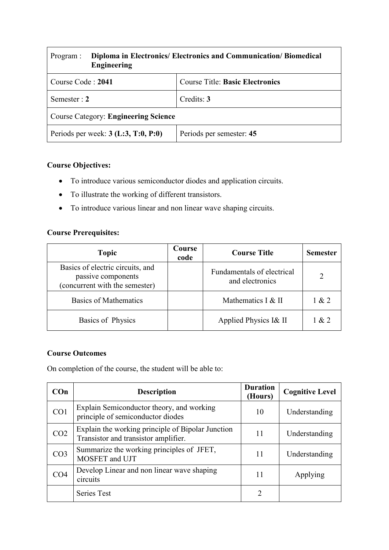| Program :                                   | Diploma in Electronics/ Electronics and Communication/ Biomedical<br><b>Engineering</b> |                                        |  |
|---------------------------------------------|-----------------------------------------------------------------------------------------|----------------------------------------|--|
| Course Code: 2041                           |                                                                                         | <b>Course Title: Basic Electronics</b> |  |
| Semester : 2                                |                                                                                         | Credits: 3                             |  |
| <b>Course Category: Engineering Science</b> |                                                                                         |                                        |  |
| Periods per week: $3$ (L:3, T:0, P:0)       |                                                                                         | Periods per semester: 45               |  |

## **Course Objectives:**

- To introduce various semiconductor diodes and application circuits.
- To illustrate the working of different transistors.
- To introduce various linear and non linear wave shaping circuits.

### **Course Prerequisites:**

| <b>Topic</b>                                                                             | Course<br>code | <b>Course Title</b>                           | <b>Semester</b> |
|------------------------------------------------------------------------------------------|----------------|-----------------------------------------------|-----------------|
| Basics of electric circuits, and<br>passive components<br>(concurrent with the semester) |                | Fundamentals of electrical<br>and electronics |                 |
| <b>Basics of Mathematics</b>                                                             |                | Mathematics $I & H$                           | 1 & 2           |
| Basics of Physics                                                                        |                | Applied Physics I& II                         | 1 & 2           |

#### **Course Outcomes**

On completion of the course, the student will be able to:

| COn             | <b>Description</b>                                                                        | <b>Duration</b><br>(Hours) | <b>Cognitive Level</b> |
|-----------------|-------------------------------------------------------------------------------------------|----------------------------|------------------------|
| CO <sub>1</sub> | Explain Semiconductor theory, and working<br>principle of semiconductor diodes            | 10                         | Understanding          |
| CO <sub>2</sub> | Explain the working principle of Bipolar Junction<br>Transistor and transistor amplifier. | 11                         | Understanding          |
| CO <sub>3</sub> | Summarize the working principles of JFET,<br>MOSFET and UJT                               | 11                         | Understanding          |
| CO4             | Develop Linear and non linear wave shaping<br>circuits                                    | 11                         | Applying               |
|                 | <b>Series Test</b>                                                                        | 2                          |                        |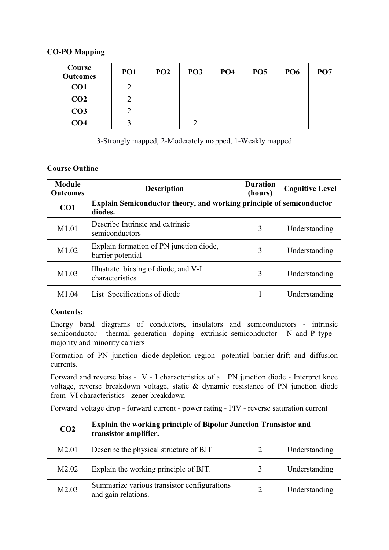### **CO-PO Mapping**

| Course<br><b>Outcomes</b> | PO <sub>1</sub> | PO <sub>2</sub> | PO <sub>3</sub> | PO <sub>4</sub> | <b>PO5</b> | <b>PO6</b> | PO <sub>7</sub> |
|---------------------------|-----------------|-----------------|-----------------|-----------------|------------|------------|-----------------|
| CO1                       |                 |                 |                 |                 |            |            |                 |
| CO <sub>2</sub>           |                 |                 |                 |                 |            |            |                 |
| CO <sub>3</sub>           |                 |                 |                 |                 |            |            |                 |
| CO <sub>4</sub>           |                 |                 |                 |                 |            |            |                 |

3-Strongly mapped, 2-Moderately mapped, 1-Weakly mapped

## **Course Outline**

| <b>Module</b><br><b>Outcomes</b> | <b>Description</b>                                                                     | <b>Duration</b><br>(hours) | <b>Cognitive Level</b> |
|----------------------------------|----------------------------------------------------------------------------------------|----------------------------|------------------------|
| CO <sub>1</sub>                  | <b>Explain Semiconductor theory, and working principle of semiconductor</b><br>diodes. |                            |                        |
| M1.01                            | Describe Intrinsic and extrinsic<br>semiconductors                                     | 3                          | Understanding          |
| M1.02                            | Explain formation of PN junction diode,<br>barrier potential                           | 3                          | Understanding          |
| M1.03                            | Illustrate biasing of diode, and V-I<br>characteristics                                | 3                          | Understanding          |
| M <sub>1.04</sub>                | List Specifications of diode                                                           |                            | Understanding          |

## **Contents:**

Energy band diagrams of conductors, insulators and semiconductors - intrinsic semiconductor - thermal generation- doping- extrinsic semiconductor - N and P type majority and minority carriers

Formation of PN junction diode-depletion region- potential barrier-drift and diffusion currents.

Forward and reverse bias - V - I characteristics of a PN junction diode - Interpret knee voltage, reverse breakdown voltage, static & dynamic resistance of PN junction diode from VI characteristics - zener breakdown

Forward voltage drop - forward current - power rating - PIV - reverse saturation current

| CO <sub>2</sub>   | <b>Explain the working principle of Bipolar Junction Transistor and</b><br>transistor amplifier. |   |               |
|-------------------|--------------------------------------------------------------------------------------------------|---|---------------|
| M <sub>2.01</sub> | Describe the physical structure of BJT                                                           | 2 | Understanding |
| M <sub>2.02</sub> | Explain the working principle of BJT.                                                            | 3 | Understanding |
| M2.03             | Summarize various transistor configurations<br>and gain relations.                               | 2 | Understanding |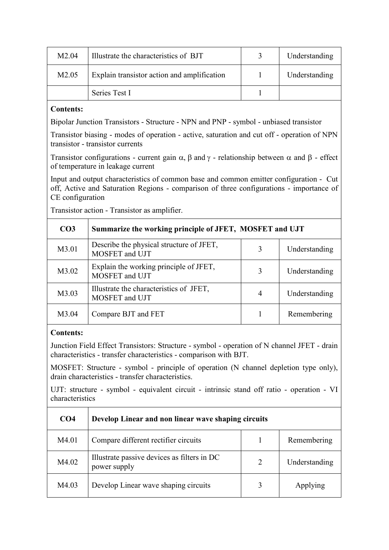| M2.04             | Illustrate the characteristics of BJT       | Understanding |
|-------------------|---------------------------------------------|---------------|
| M <sub>2.05</sub> | Explain transistor action and amplification | Understanding |
|                   | Series Test I                               |               |

#### **Contents:**

Bipolar Junction Transistors - Structure - NPN and PNP - symbol - unbiased transistor

Transistor biasing - modes of operation - active, saturation and cut off - operation of NPN transistor - transistor currents

Transistor configurations - current gain  $\alpha$ ,  $\beta$  and  $\gamma$  - relationship between  $\alpha$  and  $\beta$  - effect of temperature in leakage current

Input and output characteristics of common base and common emitter configuration - Cut off, Active and Saturation Regions - comparison of three configurations - importance of CE configuration

Transistor action - Transistor as amplifier.

| CO <sub>3</sub> | Summarize the working principle of JFET, MOSFET and UJT    |   |               |
|-----------------|------------------------------------------------------------|---|---------------|
| M3.01           | Describe the physical structure of JFET,<br>MOSFET and UJT | 3 | Understanding |
| M3.02           | Explain the working principle of JFET,<br>MOSFET and UJT   | 3 | Understanding |
| M3.03           | Illustrate the characteristics of JFET,<br>MOSFET and UJT  | 4 | Understanding |
| M3.04           | Compare BJT and FET                                        |   | Remembering   |

#### **Contents:**

Junction Field Effect Transistors: Structure - symbol - operation of N channel JFET - drain characteristics - transfer characteristics - comparison with BJT.

MOSFET: Structure - symbol - principle of operation (N channel depletion type only), drain characteristics - transfer characteristics.

UJT: structure - symbol - equivalent circuit - intrinsic stand off ratio - operation - VI characteristics

| CO <sub>4</sub> | Develop Linear and non linear wave shaping circuits         |   |               |
|-----------------|-------------------------------------------------------------|---|---------------|
| M4.01           | Compare different rectifier circuits                        |   | Remembering   |
| M4.02           | Illustrate passive devices as filters in DC<br>power supply | 2 | Understanding |
| M4.03           | Develop Linear wave shaping circuits                        |   | Applying      |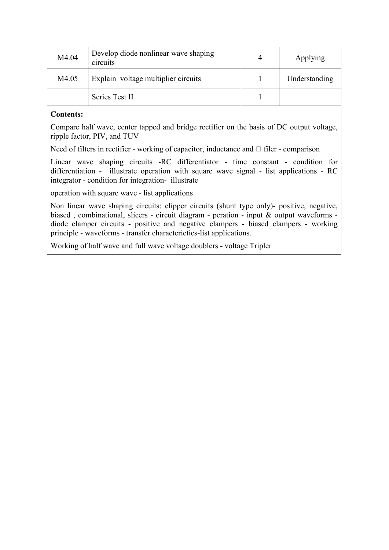| M4.04 | Develop diode nonlinear wave shaping<br>circuits | 4 | Applying      |
|-------|--------------------------------------------------|---|---------------|
| M4.05 | Explain voltage multiplier circuits              |   | Understanding |
|       | Series Test II                                   |   |               |

## **Contents:**

Compare half wave, center tapped and bridge rectifier on the basis of DC output voltage, ripple factor, PIV, and TUV

Need of filters in rectifier - working of capacitor, inductance and  $\Box$  filer - comparison

Linear wave shaping circuits -RC differentiator - time constant - condition for differentiation - illustrate operation with square wave signal - list applications - RC integrator - condition for integration- illustrate

operation with square wave - list applications

Non linear wave shaping circuits: clipper circuits (shunt type only)- positive, negative, biased , combinational, slicers - circuit diagram - peration - input & output waveforms diode clamper circuits - positive and negative clampers - biased clampers - working principle - waveforms - transfer characterictics-list applications.

Working of half wave and full wave voltage doublers - voltage Tripler